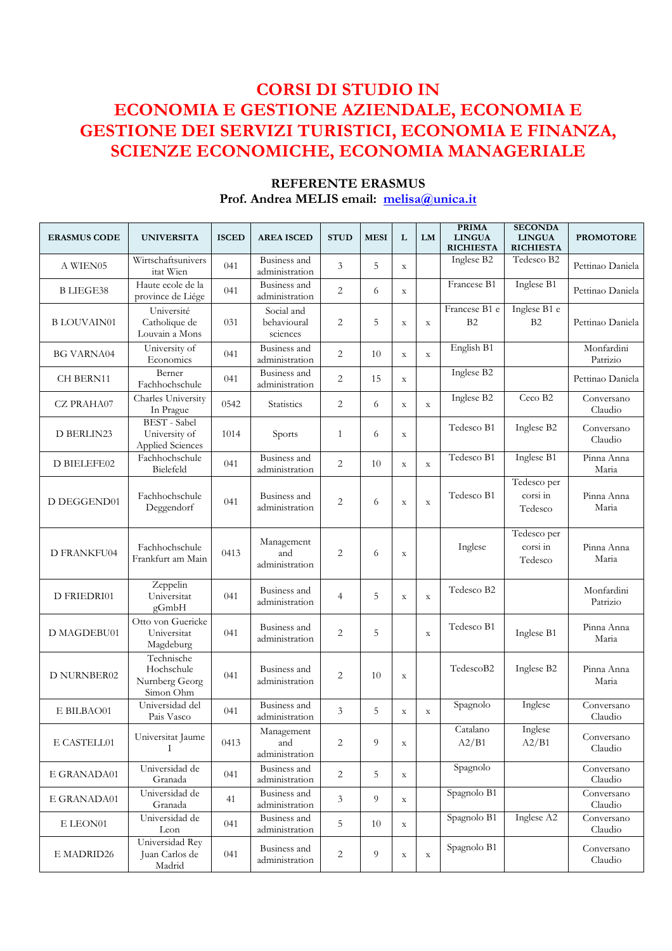# **CORSI DI STUDIO IN ECONOMIA E GESTIONE AZIENDALE, ECONOMIA E GESTIONE DEI SERVIZI TURISTICI, ECONOMIA E FINANZA, SCIENZE ECONOMICHE, ECONOMIA MANAGERIALE**

| <b>ERASMUS CODE</b> | <b>UNIVERSITA</b>                                        | <b>ISCED</b> | <b>AREA ISCED</b>                     | <b>STUD</b>    | <b>MESI</b>    | L           | LM          | <b>PRIMA</b><br><b>LINGUA</b><br><b>RICHIESTA</b> | <b>SECONDA</b><br><b>LINGUA</b><br><b>RICHIESTA</b> | <b>PROMOTORE</b>       |
|---------------------|----------------------------------------------------------|--------------|---------------------------------------|----------------|----------------|-------------|-------------|---------------------------------------------------|-----------------------------------------------------|------------------------|
| A WIEN05            | Wirtschaftsunivers<br>itat Wien                          | 041          | Business and<br>administration        | 3              | 5              | $\mathbf X$ |             | Inglese B2                                        | Tedesco B2                                          | Pettinao Daniela       |
| <b>BLIEGE38</b>     | Haute ecole de la<br>province de Liége                   | 041          | <b>Business</b> and<br>administration | $\overline{2}$ | 6              | $\mathbf X$ |             | Francese B1                                       | Inglese B1                                          | Pettinao Daniela       |
| <b>BLOUVAIN01</b>   | Université<br>Catholique de<br>Louvain a Mons            | 031          | Social and<br>behavioural<br>sciences | $\overline{2}$ | 5              | $\mathbf X$ | $\mathbf X$ | Francese B1 e<br>B2                               | Inglese B1 e<br>B2                                  | Pettinao Daniela       |
| <b>BG VARNA04</b>   | University of<br>Economics                               | 041          | Business and<br>administration        | 2              | 10             | $\mathbf X$ | $\mathbf X$ | English B1                                        |                                                     | Monfardini<br>Patrizio |
| <b>CH BERN11</b>    | Berner<br>Fachhochschule                                 | 041          | Business and<br>administration        | $\overline{2}$ | 15             | $\mathbf X$ |             | Inglese B2                                        |                                                     | Pettinao Daniela       |
| <b>CZ PRAHA07</b>   | Charles University<br>In Prague                          | 0542         | <b>Statistics</b>                     | $\overline{2}$ | 6              | $\mathbf X$ | $\mathbf X$ | Inglese B2                                        | Ceco B2                                             | Conversano<br>Claudio  |
| D BERLIN23          | <b>BEST</b> - Sabel<br>University of<br>Applied Sciences | 1014         | Sports                                | $\mathbf{1}$   | 6              | $\mathbf X$ |             | Tedesco B1                                        | Inglese B2                                          | Conversano<br>Claudio  |
| D BIELEFE02         | Fachhochschule<br>Bielefeld                              | 041          | Business and<br>administration        | $\overline{2}$ | 10             | $\mathbf X$ | $\mathbf X$ | Tedesco B1                                        | Inglese B1                                          | Pinna Anna<br>Maria    |
| D DEGGEND01         | Fachhochschule<br>Deggendorf                             | 041          | Business and<br>administration        | $\overline{c}$ | 6              | $\mathbf X$ | $\mathbf X$ | Tedesco B1                                        | Tedesco per<br>corsi in<br>Tedesco                  | Pinna Anna<br>Maria    |
| <b>D FRANKFU04</b>  | Fachhochschule<br>Frankfurt am Main                      | 0413         | Management<br>and<br>administration   | $\overline{2}$ | 6              | $\mathbf X$ |             | Inglese                                           | Tedesco per<br>corsi in<br>Tedesco                  | Pinna Anna<br>Maria    |
| D FRIEDRI01         | Zeppelin<br>Universitat<br>gGmbH                         | 041          | Business and<br>administration        | $\overline{4}$ | 5              | $\mathbf X$ | $\mathbf X$ | Tedesco B2                                        |                                                     | Monfardini<br>Patrizio |
| D MAGDEBU01         | Otto von Guericke<br>Universitat<br>Magdeburg            | 041          | Business and<br>administration        | $\overline{2}$ | 5              |             | $\mathbf X$ | Tedesco B1                                        | Inglese B1                                          | Pinna Anna<br>Maria    |
| <b>D NURNBER02</b>  | Technische<br>Hochschule<br>Numberg Georg<br>Simon Ohm   | 041          | Business and<br>administration        | $\overline{2}$ | 10             | $\mathbf X$ |             | TedescoB2                                         | Inglese B2                                          | Pinna Anna<br>Maria    |
| E BILBAO01          | Universidad del<br>Pais Vasco                            | 041          | Business and<br>administration        | 3              | 5              | $\mathbf X$ | $\mathbf X$ | Spagnolo                                          | Inglese                                             | Conversano<br>Claudio  |
| E CASTELL01         | Universitat Jaume<br>T                                   | 0413         | Management<br>and<br>administration   | 2              | $\overline{9}$ | $\mathbf X$ |             | Catalano<br>A2/B1                                 | Inglese<br>A2/B1                                    | Conversano<br>Claudio  |
| E GRANADA01         | Universidad de<br>Granada                                | 041          | Business and<br>administration        | 2              | 5              | $\mathbf X$ |             | Spagnolo                                          |                                                     | Conversano<br>Claudio  |
| E GRANADA01         | Universidad de<br>Granada                                | 41           | Business and<br>administration        | 3              | 9              | $\mathbf X$ |             | Spagnolo B1                                       |                                                     | Conversano<br>Claudio  |
| E LEON01            | Universidad de<br>Leon                                   | 041          | Business and<br>administration        | 5              | 10             | $\mathbf X$ |             | Spagnolo B1                                       | Inglese A2                                          | Conversano<br>Claudio  |
| $\rm E$ MADRID26    | Universidad Rey<br>Juan Carlos de<br>Madrid              | 041          | Business and<br>administration        | 2              | 9              | $\mathbf X$ | $\mathbf X$ | Spagnolo B1                                       |                                                     | Conversano<br>Claudio  |

#### **REFERENTE ERASMUS Prof. Andrea MELIS email: melisa@unica.it**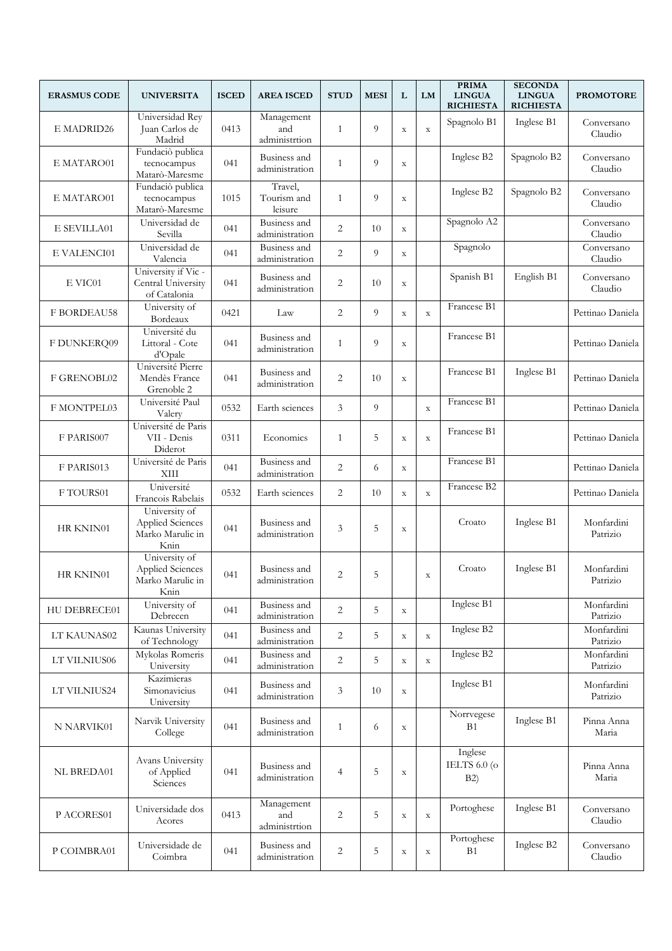| <b>ERASMUS CODE</b> | <b>UNIVERSITA</b>                                             | <b>ISCED</b> | <b>AREA ISCED</b>                  | <b>STUD</b>    | <b>MESI</b> | L           | LM          | <b>PRIMA</b><br><b>LINGUA</b><br><b>RICHIESTA</b> | <b>SECONDA</b><br><b>LINGUA</b><br><b>RICHIESTA</b> | <b>PROMOTORE</b>       |
|---------------------|---------------------------------------------------------------|--------------|------------------------------------|----------------|-------------|-------------|-------------|---------------------------------------------------|-----------------------------------------------------|------------------------|
| E MADRID26          | Universidad Rey<br>Juan Carlos de<br>Madrid                   | 0413         | Management<br>and<br>administrtion | 1              | 9           | $\mathbf X$ | $\mathbf X$ | Spagnolo B1                                       | Inglese B1                                          | Conversano<br>Claudio  |
| E MATARO01          | Fundaciò publica<br>tecnocampus<br>Matarò-Maresme             | 041          | Business and<br>administration     | $\mathbf{1}$   | 9           | $\mathbf X$ |             | Inglese B2                                        | Spagnolo B2                                         | Conversano<br>Claudio  |
| E MATARO01          | Fundaciò publica<br>tecnocampus<br>Matarò-Maresme             | 1015         | Travel,<br>Tourism and<br>leisure  | 1              | 9           | $\mathbf X$ |             | Inglese B2                                        | Spagnolo B2                                         | Conversano<br>Claudio  |
| E SEVILLA01         | Universidad de<br>Sevilla                                     | 041          | Business and<br>administration     | $\overline{2}$ | 10          | $\mathbf X$ |             | Spagnolo A2                                       |                                                     | Conversano<br>Claudio  |
| E VALENCI01         | Universidad de<br>Valencia                                    | 041          | Business and<br>administration     | $\overline{2}$ | 9           | $\mathbf X$ |             | Spagnolo                                          |                                                     | Conversano<br>Claudio  |
| E VIC01             | University if Vic-<br>Central University<br>of Catalonia      | 041          | Business and<br>administration     | $\overline{2}$ | 10          | $\mathbf X$ |             | Spanish B1                                        | English B1                                          | Conversano<br>Claudio  |
| <b>F BORDEAU58</b>  | University of<br>Bordeaux                                     | 0421         | Law                                | $\overline{2}$ | 9           | $\mathbf X$ | $\mathbf X$ | Francese B1                                       |                                                     | Pettinao Daniela       |
| F DUNKERQ09         | Université du<br>Littoral - Cote<br>d'Opale                   | 041          | Business and<br>administration     | 1              | 9           | $\mathbf X$ |             | Francese B1                                       |                                                     | Pettinao Daniela       |
| F GRENOBL02         | Université Pierre<br>Mendès France<br>Grenoble 2              | 041          | Business and<br>administration     | $\overline{2}$ | 10          | $\mathbf X$ |             | Francese B1                                       | Inglese B1                                          | Pettinao Daniela       |
| F MONTPEL03         | Université Paul<br>Valery                                     | 0532         | Earth sciences                     | 3              | 9           |             | $\mathbf X$ | Francese B1                                       |                                                     | Pettinao Daniela       |
| F PARIS007          | Université de Paris<br>VII - Denis<br>Diderot                 | 0311         | Economics                          | 1              | 5           | $\mathbf X$ | $\mathbf X$ | Francese B1                                       |                                                     | Pettinao Daniela       |
| F PARIS013          | Université de Paris<br>XIII                                   | 041          | Business and<br>administration     | $\overline{2}$ | 6           | $\mathbf X$ |             | Francese B1                                       |                                                     | Pettinao Daniela       |
| F TOURS01           | Université<br>Francois Rabelais                               | 0532         | Earth sciences                     | 2              | 10          | $\mathbf X$ | $\mathbf X$ | Francese B2                                       |                                                     | Pettinao Daniela       |
| HR KNIN01           | University of<br>Applied Sciences<br>Marko Marulic in<br>Knin | 041          | Business and<br>administration     | 3              | 5           | $\mathbf X$ |             | Croato                                            | Inglese B1                                          | Monfardini<br>Patrizio |
| HR KNIN01           | University of<br>Applied Sciences<br>Marko Marulic in<br>Knin | 041          | Business and<br>administration     | $\overline{2}$ | 5           |             | $\mathbf X$ | Croato                                            | Inglese B1                                          | Monfardini<br>Patrizio |
| HU DEBRECE01        | University of<br>Debrecen                                     | 041          | Business and<br>administration     | $\overline{2}$ | 5           | $\mathbf X$ |             | Inglese B1                                        |                                                     | Monfardini<br>Patrizio |
| LT KAUNAS02         | Kaunas University<br>of Technology                            | 041          | Business and<br>administration     | 2              | 5           | $\mathbf X$ | $\mathbf X$ | Inglese B2                                        |                                                     | Monfardini<br>Patrizio |
| LT VILNIUS06        | Mykolas Romeris<br>University                                 | 041          | Business and<br>administration     | 2              | 5           | $\mathbf X$ | $\mathbf X$ | Inglese B2                                        |                                                     | Monfardini<br>Patrizio |
| LT VILNIUS24        | Kazimieras<br>Simonavicius<br>University                      | 041          | Business and<br>administration     | 3              | 10          | $\mathbf X$ |             | Inglese B1                                        |                                                     | Monfardini<br>Patrizio |
| N NARVIK01          | Narvik University<br>College                                  | 041          | Business and<br>administration     | 1              | 6           | $\mathbf X$ |             | Norrvegese<br>B1                                  | Inglese B1                                          | Pinna Anna<br>Maria    |
| <b>NL BREDA01</b>   | Avans University<br>of Applied<br>Sciences                    | 041          | Business and<br>administration     | $\overline{4}$ | 5           | $\mathbf X$ |             | Inglese<br>IELTS $6.0$ (o<br>B2)                  |                                                     | Pinna Anna<br>Maria    |
| P ACORES01          | Universidade dos<br>Acores                                    | 0413         | Management<br>and<br>administrtion | 2              | 5           | $\mathbf X$ | $\mathbf X$ | Portoghese                                        | Inglese B1                                          | Conversano<br>Claudio  |
| P COIMBRA01         | Universidade de<br>Coimbra                                    | 041          | Business and<br>administration     | $\overline{2}$ | 5           | $\mathbf X$ | $\mathbf X$ | Portoghese<br>B1                                  | Inglese B2                                          | Conversano<br>Claudio  |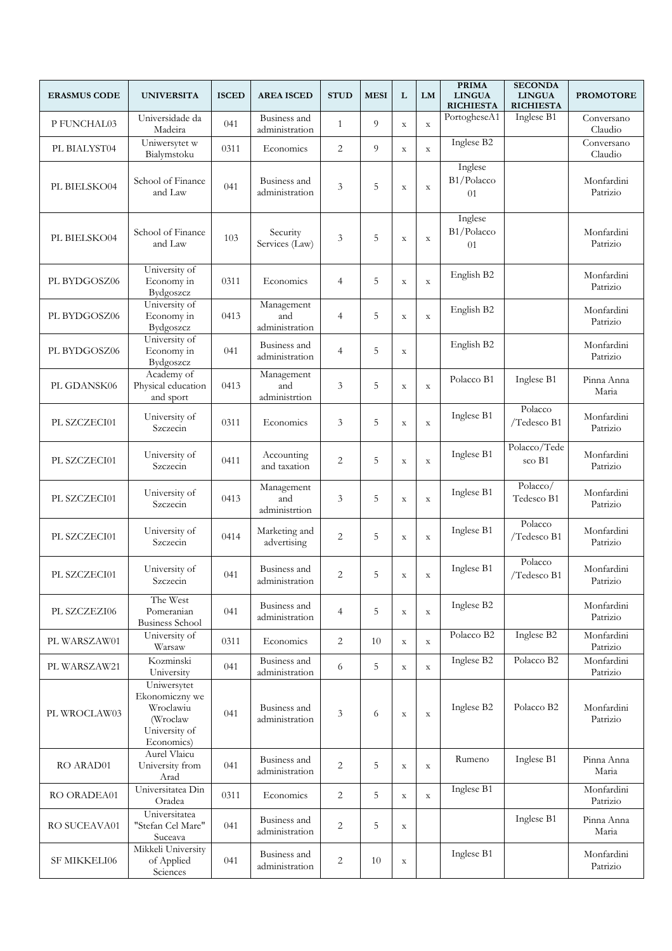| <b>ERASMUS CODE</b> | <b>UNIVERSITA</b>                                                                     | <b>ISCED</b> | <b>AREA ISCED</b>                   | <b>STUD</b>    | <b>MESI</b> | L           | LM          | <b>PRIMA</b><br><b>LINGUA</b><br><b>RICHIESTA</b> | <b>SECONDA</b><br><b>LINGUA</b><br><b>RICHIESTA</b> | <b>PROMOTORE</b>       |
|---------------------|---------------------------------------------------------------------------------------|--------------|-------------------------------------|----------------|-------------|-------------|-------------|---------------------------------------------------|-----------------------------------------------------|------------------------|
| P FUNCHAL03         | Universidade da<br>Madeira                                                            | 041          | Business and<br>administration      | 1              | 9           | $\mathbf X$ | $\mathbf X$ | PortogheseA1                                      | Inglese B1                                          | Conversano<br>Claudio  |
| PL BIALYST04        | Uniwersytet w<br>Bialymstoku                                                          | 0311         | Economics                           | $\overline{2}$ | 9           | $\mathbf X$ | $\mathbf X$ | Inglese B2                                        |                                                     | Conversano<br>Claudio  |
| PL BIELSKO04        | School of Finance<br>and Law                                                          | 041          | Business and<br>administration      | 3              | 5           | $\mathbf X$ | $\mathbf X$ | Inglese<br>B1/Polacco<br>01                       |                                                     | Monfardini<br>Patrizio |
| PL BIELSKO04        | School of Finance<br>and Law                                                          | 103          | Security<br>Services (Law)          | 3              | 5           | $\mathbf X$ | $\mathbf X$ | Inglese<br>B1/Polacco<br>01                       |                                                     | Monfardini<br>Patrizio |
| PL BYDGOSZ06        | University of<br>Economy in<br>Bydgoszcz                                              | 0311         | Economics                           | $\overline{4}$ | 5           | $\mathbf X$ | $\mathbf X$ | English B2                                        |                                                     | Monfardini<br>Patrizio |
| PL BYDGOSZ06        | University of<br>Economy in<br>Bydgoszcz                                              | 0413         | Management<br>and<br>administration | $\overline{4}$ | 5           | $\mathbf X$ | $\mathbf X$ | English B2                                        |                                                     | Monfardini<br>Patrizio |
| PL BYDGOSZ06        | University of<br>Economy in<br>Bydgoszcz                                              | 041          | Business and<br>administration      | $\overline{4}$ | 5           | $\mathbf X$ |             | English B2                                        |                                                     | Monfardini<br>Patrizio |
| PL GDANSK06         | Academy of<br>Physical education<br>and sport                                         | 0413         | Management<br>and<br>administrtion  | 3              | 5           | $\mathbf X$ | $\mathbf X$ | Polacco B1                                        | Inglese B1                                          | Pinna Anna<br>Maria    |
| PL SZCZECI01        | University of<br>Szczecin                                                             | 0311         | Economics                           | 3              | 5           | $\mathbf X$ | $\mathbf X$ | Inglese B1                                        | Polacco<br>/Tedesco B1                              | Monfardini<br>Patrizio |
| PL SZCZECI01        | University of<br>Szczecin                                                             | 0411         | Accounting<br>and taxation          | $\overline{2}$ | 5           | $\mathbf X$ | $\mathbf X$ | Inglese B1                                        | Polacco/Tede<br>sco B1                              | Monfardini<br>Patrizio |
| PL SZCZECI01        | University of<br>Szczecin                                                             | 0413         | Management<br>and<br>administrtion  | 3              | 5           | $\mathbf X$ | $\mathbf X$ | Inglese B1                                        | Polacco/<br>Tedesco B1                              | Monfardini<br>Patrizio |
| PL SZCZECI01        | University of<br>Szczecin                                                             | 0414         | Marketing and<br>advertising        | $\overline{2}$ | 5           | $\mathbf X$ | $\mathbf X$ | Inglese B1                                        | Polacco<br>/Tedesco B1                              | Monfardini<br>Patrizio |
| PL SZCZECI01        | University of<br>Szczecin                                                             | 041          | Business and<br>administration      | $\overline{c}$ | 5           | $\mathbf X$ | $\mathbf X$ | Inglese B1                                        | Polacco<br>/Tedesco B1                              | Monfardini<br>Patrizio |
| PL SZCZEZI06        | The West<br>Pomeranian<br><b>Business School</b>                                      | 041          | Business and<br>administration      | $\overline{4}$ | 5           | $\mathbf X$ | $\mathbf X$ | Inglese B2                                        |                                                     | Monfardini<br>Patrizio |
| PL WARSZAW01        | University of<br>Warsaw                                                               | 0311         | Economics                           | 2              | 10          | $\mathbf X$ | $\mathbf X$ | Polacco B2                                        | Inglese B2                                          | Monfardini<br>Patrizio |
| PL WARSZAW21        | Kozminski<br>University                                                               | 041          | Business and<br>administration      | 6              | 5           | $\mathbf X$ | $\mathbf X$ | Inglese B2                                        | Polacco B2                                          | Monfardini<br>Patrizio |
| PL WROCLAW03        | Uniwersytet<br>Ekonomiczny we<br>Wroclawiu<br>(Wroclaw<br>University of<br>Economics) | 041          | Business and<br>administration      | 3              | 6           | $\mathbf X$ | $\mathbf X$ | Inglese B2                                        | Polacco B2                                          | Monfardini<br>Patrizio |
| RO ARAD01           | Aurel Vlaicu<br>University from<br>Arad                                               | 041          | Business and<br>administration      | $\overline{c}$ | 5           | $\mathbf X$ | $\mathbf X$ | Rumeno                                            | Inglese B1                                          | Pinna Anna<br>Maria    |
| RO ORADEA01         | Universitatea Din<br>Oradea                                                           | 0311         | Economics                           | 2              | 5           | $\mathbf X$ | $\mathbf X$ | Inglese B1                                        |                                                     | Monfardini<br>Patrizio |
| RO SUCEAVA01        | Universitatea<br>"Stefan Cel Mare"<br>Suceava                                         | 041          | Business and<br>administration      | $\overline{2}$ | 5           | $\mathbf X$ |             |                                                   | Inglese B1                                          | Pinna Anna<br>Maria    |
| SF MIKKELI06        | Mikkeli University<br>of Applied<br>Sciences                                          | 041          | Business and<br>administration      | $\sqrt{2}$     | 10          | $\mathbf X$ |             | Inglese B1                                        |                                                     | Monfardini<br>Patrizio |